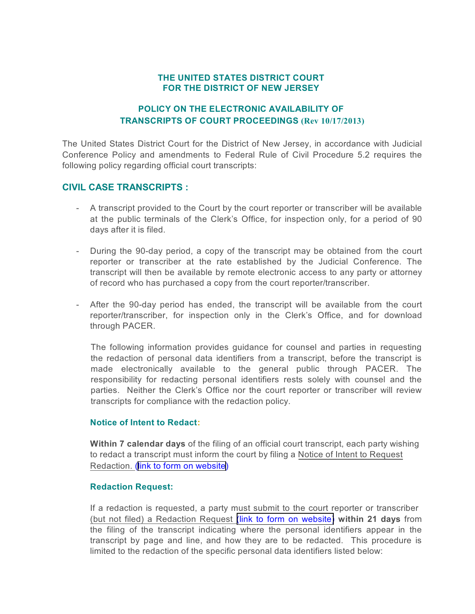## **THE UNITED STATES DISTRICT COURT FOR THE DISTRICT OF NEW JERSEY**

## **POLICY ON THE ELECTRONIC AVAILABILITY OF TRANSCRIPTS OF COURT PROCEEDINGS (Rev 10/17/2013)**

The United States District Court for the District of New Jersey, in accordance with Judicial Conference Policy and amendments to Federal Rule of Civil Procedure 5.2 requires the following policy regarding official court transcripts:

# **CIVIL CASE TRANSCRIPTS :**

- A transcript provided to the Court by the court reporter or transcriber will be available at the public terminals of the Clerk's Office, for inspection only, for a period of 90 days after it is filed.
- During the 90-day period, a copy of the transcript may be obtained from the court reporter or transcriber at the rate established by the Judicial Conference. The transcript will then be available by remote electronic access to any party or attorney of record who has purchased a copy from the court reporter/transcriber.
- After the 90-day period has ended, the transcript will be available from the court reporter/transcriber, for inspection only in the Clerk's Office, and for download through PACER.

The following information provides guidance for counsel and parties in requesting the redaction of personal data identifiers from a transcript, before the transcript is made electronically available to the general public through PACER. The responsibility for redacting personal identifiers rests solely with counsel and the parties. Neither the Clerk's Office nor the court reporter or transcriber will review transcripts for compliance with the redaction policy.

### **Notice of Intent to Redact:**

**Within 7 calendar days** of the filing of an official court transcript, each party wishing to redact a transcript must inform the court by filing a [Notice of Intent to Request](http://www.njd.uscourts.gov/sites/njd/files/forms/NoticeIntentRedactDNJ-CMECF-006.pdf) [Redaction.](http://www.njd.uscourts.gov/sites/njd/files/forms/NoticeIntentRedactDNJ-CMECF-006.pdf) ([link to form on website](http://www.njd.uscourts.gov/sites/njd/files/forms/NoticeIntentRedactDNJ-CMECF-006.pdf))

#### **Redaction Request:**

If a redaction is requested, a party must submit to the court reporter or transcriber [\(but not filed\) a Redaction Request \(link to form on website\)](http://www.njd.uscourts.gov/sites/njd/files/forms/NJDRedactionStatementDNJ-CMECF-007.pdf) **within 21 days** from the filing of the transcript indicating where the personal identifiers appear in the transcript by page and line, and how they are to be redacted. This procedure is limited to the redaction of the specific personal data identifiers listed below: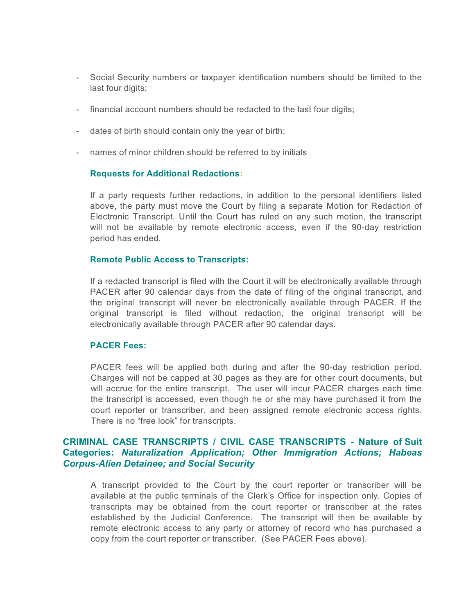- Social Security numbers or taxpayer identification numbers should be limited to the last four digits;
- financial account numbers should be redacted to the last four digits;
- dates of birth should contain only the year of birth;
- names of minor children should be referred to by initials

#### **Requests for Additional Redactions:**

If a party requests further redactions, in addition to the personal identifiers listed above, the party must move the Court by filing a separate Motion for Redaction of Electronic Transcript. Until the Court has ruled on any such motion, the transcript will not be available by remote electronic access, even if the 90-day restriction period has ended.

### **Remote Public Access to Transcripts:**

If a redacted transcript is filed with the Court it will be electronically available through PACER after 90 calendar days from the date of filing of the original transcript, and the original transcript will never be electronically available through PACER. If the original transcript is filed without redaction, the original transcript will be electronically available through PACER after 90 calendar days.

#### **PACER Fees:**

PACER fees will be applied both during and after the 90-day restriction period. Charges will not be capped at 30 pages as they are for other court documents, but will accrue for the entire transcript. The user will incur PACER charges each time the transcript is accessed, even though he or she may have purchased it from the court reporter or transcriber, and been assigned remote electronic access rights. There is no "free look" for transcripts.

## **CRIMINAL CASE TRANSCRIPTS / CIVIL CASE TRANSCRIPTS - Nature of Suit Categories:** *Naturalization Application; Other Immigration Actions; Habeas Corpus-Alien Detainee; and Social Security*

A transcript provided to the Court by the court reporter or transcriber will be available at the public terminals of the Clerk's Office for inspection only. Copies of transcripts may be obtained from the court reporter or transcriber at the rates established by the Judicial Conference. The transcript will then be available by remote electronic access to any party or attorney of record who has purchased a copy from the court reporter or transcriber. (See PACER Fees above).